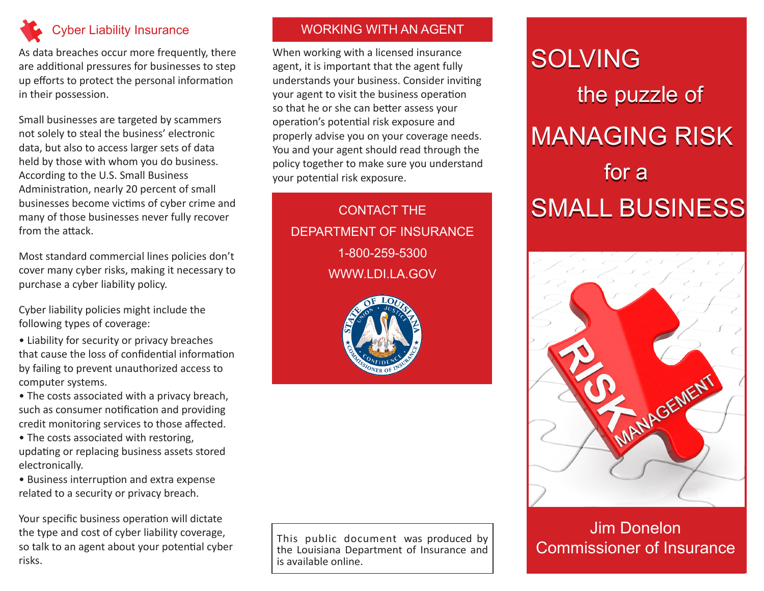

As data breaches occur more frequently, there are additional pressures for businesses to step up efforts to protect the personal information in their possession.

Small businesses are targeted by scammers not solely to steal the business' electronic data, but also to access larger sets of data held by those with whom you do business. According to the U.S. Small Business Administration, nearly 20 percent of small businesses become victims of cyber crime and many of those businesses never fully recover from the attack.

Most standard commercial lines policies don't cover many cyber risks, making it necessary to purchase a cyber liability policy.

Cyber liability policies might include the following types of coverage:

- Liability for security or privacy breaches that cause the loss of confidential information by failing to prevent unauthorized access to computer systems.
- The costs associated with a privacy breach, such as consumer notification and providing credit monitoring services to those affected.
- The costs associated with restoring, updating or replacing business assets stored electronically.
- Business interruption and extra expense related to a security or privacy breach.

Your specific business operation will dictate the type and cost of cyber liability coverage, so talk to an agent about your potential cyber risks.

#### WORKING WITH AN AGENT

When working with a licensed insurance agent, it is important that the agent fully understands your business. Consider inviting your agent to visit the business operation so that he or she can better assess your operation's potential risk exposure and properly advise you on your coverage needs. You and your agent should read through the policy together to make sure you understand your potential risk exposure.

CONTACT THE DEPARTMENT OF INSURANCE 1-800-259-5300

WWW.LDI.LA.GOV



SOLVING the puzzle of MANAGING RISK for a SMALL BUSINESS

# MANAGEMENT

### Jim Donelon Commissioner of Insurance

This public document was produced by the Louisiana Department of Insurance and is available online.